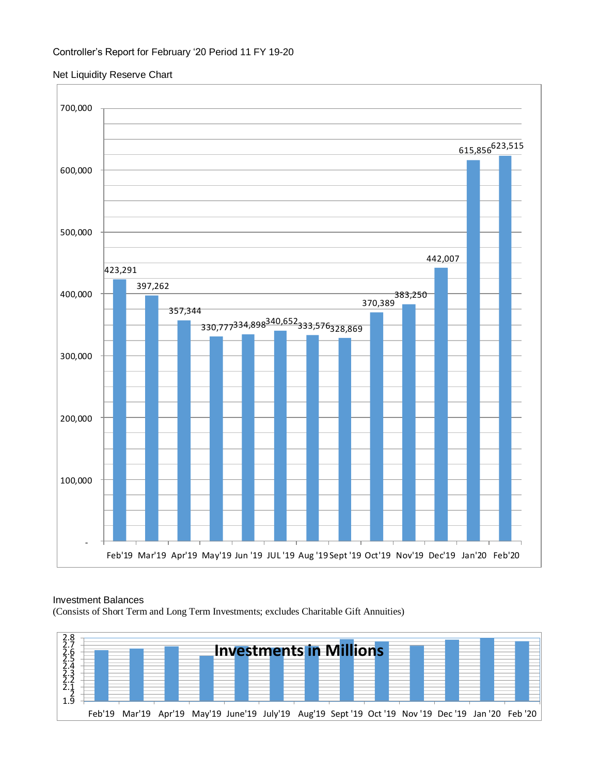## Controller's Report for February '20 Period 11 FY 19-20

### Net Liquidity Reserve Chart



#### Investment Balances

(Consists of Short Term and Long Term Investments; excludes Charitable Gift Annuities)

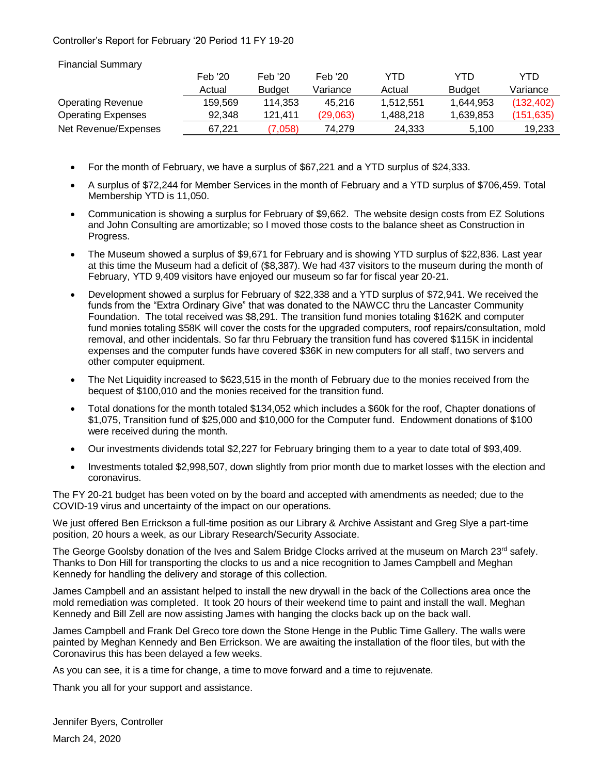# Controller's Report for February '20 Period 11 FY 19-20

Financial Summary

|                           | Feb '20 | Feb '20       | Feb '20  | YTD       | YTD           | YTD        |
|---------------------------|---------|---------------|----------|-----------|---------------|------------|
|                           | Actual  | <b>Budget</b> | Variance | Actual    | <b>Budget</b> | Variance   |
| <b>Operating Revenue</b>  | 159.569 | 114.353       | 45.216   | 1.512.551 | 1,644,953     | (132, 402) |
| <b>Operating Expenses</b> | 92.348  | 121.411       | (29,063) | 1.488.218 | 1.639.853     | (151, 635) |
| Net Revenue/Expenses      | 67.221  | 7.058)        | 74.279   | 24.333    | 5.100         | 19,233     |

- For the month of February, we have a surplus of \$67,221 and a YTD surplus of \$24,333.
- A surplus of \$72,244 for Member Services in the month of February and a YTD surplus of \$706,459. Total Membership YTD is 11,050.
- Communication is showing a surplus for February of \$9,662. The website design costs from EZ Solutions and John Consulting are amortizable; so I moved those costs to the balance sheet as Construction in Progress.
- The Museum showed a surplus of \$9,671 for February and is showing YTD surplus of \$22,836. Last year at this time the Museum had a deficit of (\$8,387). We had 437 visitors to the museum during the month of February, YTD 9,409 visitors have enjoyed our museum so far for fiscal year 20-21.
- Development showed a surplus for February of \$22,338 and a YTD surplus of \$72,941. We received the funds from the "Extra Ordinary Give" that was donated to the NAWCC thru the Lancaster Community Foundation. The total received was \$8,291. The transition fund monies totaling \$162K and computer fund monies totaling \$58K will cover the costs for the upgraded computers, roof repairs/consultation, mold removal, and other incidentals. So far thru February the transition fund has covered \$115K in incidental expenses and the computer funds have covered \$36K in new computers for all staff, two servers and other computer equipment.
- The Net Liquidity increased to \$623,515 in the month of February due to the monies received from the bequest of \$100,010 and the monies received for the transition fund.
- Total donations for the month totaled \$134,052 which includes a \$60k for the roof, Chapter donations of \$1,075, Transition fund of \$25,000 and \$10,000 for the Computer fund. Endowment donations of \$100 were received during the month.
- Our investments dividends total \$2,227 for February bringing them to a year to date total of \$93,409.
- Investments totaled \$2,998,507, down slightly from prior month due to market losses with the election and coronavirus.

The FY 20-21 budget has been voted on by the board and accepted with amendments as needed; due to the COVID-19 virus and uncertainty of the impact on our operations.

We just offered Ben Errickson a full-time position as our Library & Archive Assistant and Greg Slye a part-time position, 20 hours a week, as our Library Research/Security Associate.

The George Goolsby donation of the Ives and Salem Bridge Clocks arrived at the museum on March 23<sup>rd</sup> safely. Thanks to Don Hill for transporting the clocks to us and a nice recognition to James Campbell and Meghan Kennedy for handling the delivery and storage of this collection.

James Campbell and an assistant helped to install the new drywall in the back of the Collections area once the mold remediation was completed. It took 20 hours of their weekend time to paint and install the wall. Meghan Kennedy and Bill Zell are now assisting James with hanging the clocks back up on the back wall.

James Campbell and Frank Del Greco tore down the Stone Henge in the Public Time Gallery. The walls were painted by Meghan Kennedy and Ben Errickson. We are awaiting the installation of the floor tiles, but with the Coronavirus this has been delayed a few weeks.

As you can see, it is a time for change, a time to move forward and a time to rejuvenate.

Thank you all for your support and assistance.

Jennifer Byers, Controller